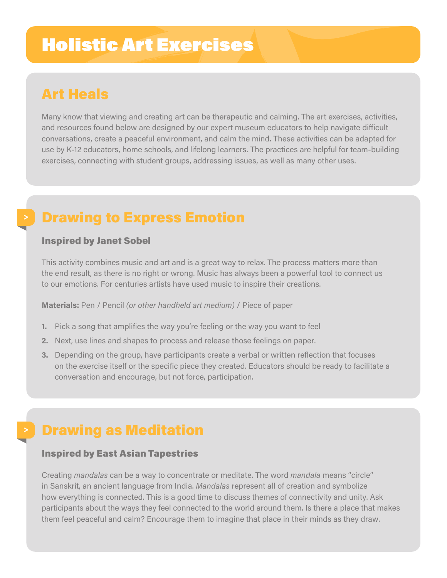# Holistic Art Exercises

### Art Heals

Many know that viewing and creating art can be therapeutic and calming. The art exercises, activities, and resources found below are designed by our expert museum educators to help navigate difficult conversations, create a peaceful environment, and calm the mind. These activities can be adapted for use by K-12 educators, home schools, and lifelong learners. The practices are helpful for team-building exercises, connecting with student groups, addressing issues, as well as many other uses.

### Drawing to Express Emotion

### Inspired by Janet Sobel

This activity combines music and art and is a great way to relax. The process matters more than the end result, as there is no right or wrong. Music has always been a powerful tool to connect us to our emotions. For centuries artists have used music to inspire their creations.

**Materials:** Pen / Pencil *(or other handheld art medium)* / Piece of paper

- **1.** Pick a song that amplifies the way you're feeling or the way you want to feel
- **2.** Next, use lines and shapes to process and release those feelings on paper.
- **3.** Depending on the group, have participants create a verbal or written reflection that focuses on the exercise itself or the specific piece they created. Educators should be ready to facilitate a conversation and encourage, but not force, participation.

### Drawing as Meditation

#### Inspired by East Asian Tapestries

Creating *mandalas* can be a way to concentrate or meditate. The word *mandala* means "circle" in Sanskrit, an ancient language from India. *Mandalas* represent all of creation and symbolize how everything is connected. This is a good time to discuss themes of connectivity and unity. Ask participants about the ways they feel connected to the world around them. Is there a place that makes them feel peaceful and calm? Encourage them to imagine that place in their minds as they draw.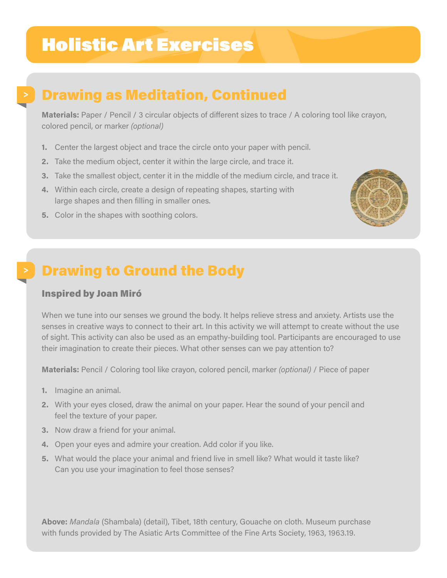# Holistic Art Exercises

## Drawing as Meditation, Continued

**Materials:** Paper / Pencil / 3 circular objects of different sizes to trace / A coloring tool like crayon, colored pencil, or marker *(optional)*

- **1.** Center the largest object and trace the circle onto your paper with pencil.
- **2.** Take the medium object, center it within the large circle, and trace it.
- **3.** Take the smallest object, center it in the middle of the medium circle, and trace it.
- **4.** Within each circle, create a design of repeating shapes, starting with large shapes and then filling in smaller ones.
- **5.** Color in the shapes with soothing colors.



### Drawing to Ground the Body

### Inspired by Joan Miró

When we tune into our senses we ground the body. It helps relieve stress and anxiety. Artists use the senses in creative ways to connect to their art. In this activity we will attempt to create without the use of sight. This activity can also be used as an empathy-building tool. Participants are encouraged to use their imagination to create their pieces. What other senses can we pay attention to?

**Materials:** Pencil / Coloring tool like crayon, colored pencil, marker *(optional)* / Piece of paper

- **1.** Imagine an animal.
- **2.** With your eyes closed, draw the animal on your paper. Hear the sound of your pencil and feel the texture of your paper.
- **3.** Now draw a friend for your animal.
- **4.** Open your eyes and admire your creation. Add color if you like.
- **5.** What would the place your animal and friend live in smell like? What would it taste like? Can you use your imagination to feel those senses?

**Above:** *Mandala* (Shambala) (detail), Tibet, 18th century, Gouache on cloth. Museum purchase with funds provided by The Asiatic Arts Committee of the Fine Arts Society, 1963, 1963.19.